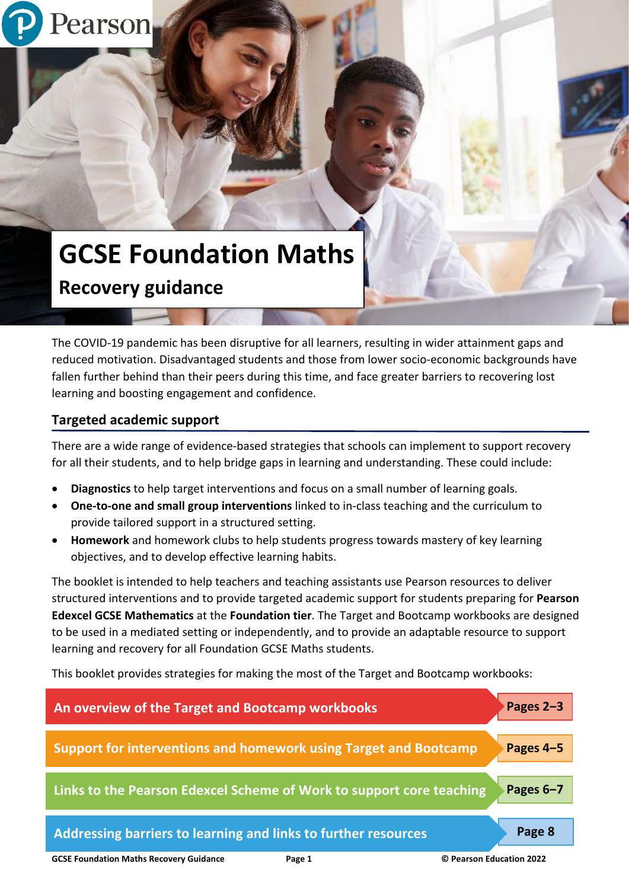

# **GCSE Foundation Maths Recovery guidance**

The COVID-19 pandemic has been disruptive for all learners, resulting in wider attainment gaps and reduced motivation. Disadvantaged students and those from lower socio-economic backgrounds have fallen further behind than their peers during this time, and face greater barriers to recovering lost learning and boosting engagement and confidence.

# **Targeted academic support**

There are a wide range of evidence-based strategies that schools can implement to support recovery for all their students, and to help bridge gaps in learning and understanding. These could include:

- **Diagnostics** to help target interventions and focus on a small number of learning goals.
- **One-to-one and small group interventions** linked to in-class teaching and the curriculum to provide tailored support in a structured setting.
- **Homework** and homework clubs to help students progress towards mastery of key learning objectives, and to develop effective learning habits.

The booklet is intended to help teachers and teaching assistants use Pearson resources to deliver structured interventions and to provide targeted academic support for students preparing for **Pearson Edexcel GCSE Mathematics** at the **Foundation tier**. The Target and Bootcamp workbooks are designed to be used in a mediated setting or independently, and to provide an adaptable resource to support learning and recovery for all Foundation GCSE Maths students.

This booklet provides strategies for making the most of the Target and Bootcamp workbooks:

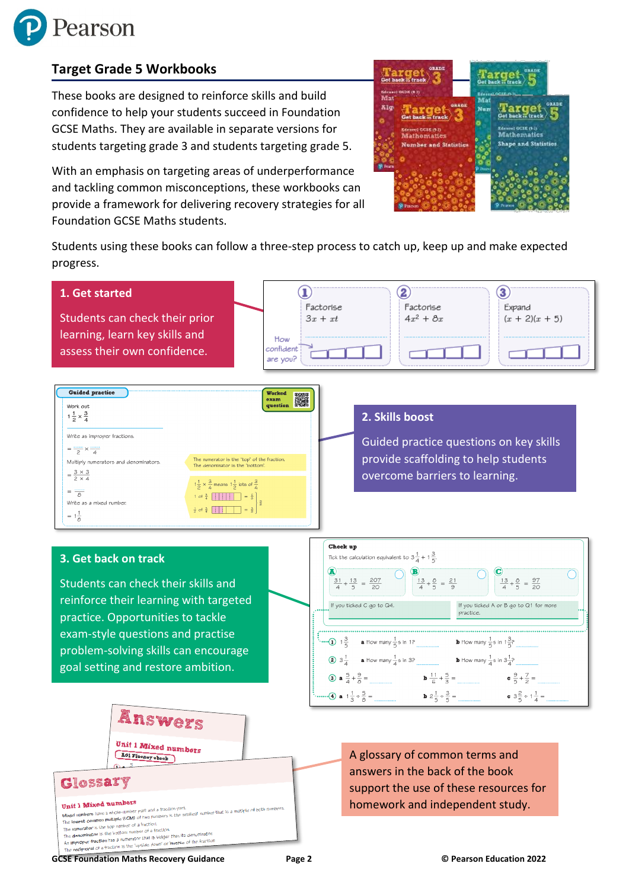

# **Target Grade 5 Workbooks**

These books are designed to reinforce skills and build confidence to help your students succeed in Foundation GCSE Maths. They are available in separate versions for students targeting grade 3 and students targeting grade 5.

With an emphasis on targeting areas of underperformance and tackling common misconceptions, these workbooks can provide a framework for delivering recovery strategies for all Foundation GCSE Maths students.



Students using these books can follow a three-step process to catch up, keep up and make expected progress.



**GCSE Foundation Maths Recovery Guidance Page 2 © Pearson Education 2022**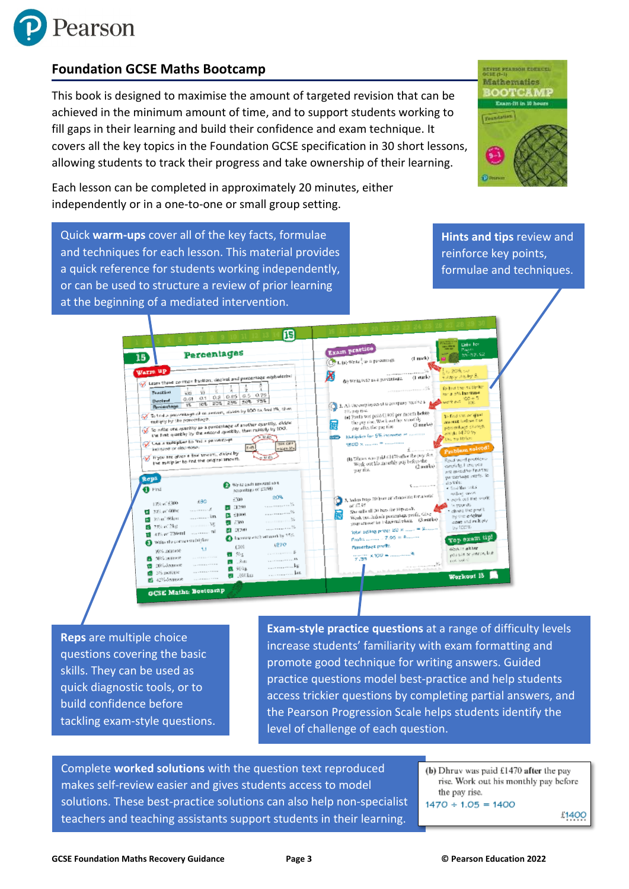

# **Foundation GCSE Maths Bootcamp**

This book is designed to maximise the amount of targeted revision that can be achieved in the minimum amount of time, and to support students working to fill gaps in their learning and build their confidence and exam technique. It covers all the key topics in the Foundation GCSE specification in 30 short lessons, allowing students to track their progress and take ownership of their learning.

Each lesson can be completed in approximately 20 minutes, either independently or in a one-to-one or small group setting.

**Hints and tips** review and reinforce key points,

**ATVEST PEARSON ROTECTL Mathematics** BOOTCAMP Exam-fit in 10 hours

**Foundation** 

formulae and techniques.

Quick **warm-ups** cover all of the key facts, formulae and techniques for each lesson. This material provides a quick reference for students working independently, or can be used to structure a review of prior learning at the beginning of a mediated intervention.

> 侗 Exam practice **Percentages** 50 15)  $\langle 1 \bmod k \rangle$ 1. (a) Write 2 as a personage. )<br>Sho 20% co<br>Tulijojy (the by S. Warm up **Watth UP**<br>( $\frac{V}{V}$  Learn these comment traction, decimal and percentage explosionts) Learn these common tracklen, declination and processes<br>  $\frac{1}{20}$   $\frac{1}{10}$   $\frac{1}{5}$   $\frac{1}{4}$   $\frac{1}{2}$   $\frac{2}{4}$ <br>
> Declination  $\frac{0.01}{0.01}$   $\frac{0.1}{0.1}$   $\frac{0.2}{0.02}$   $\frac{0.2}{0.25}$   $\frac{0.2}{0.09}$   $\frac{79\%}{0.006}$ Z folling the multipler<br>for a 5% increase  $\bigoplus_{29,29}$  E. All the employees of a company receive a  $\bigotimes_{100}^{100}$  were not  $\bigotimes_{100}^{100}$ **BreastAge | 15.** 10% | 29% | 29% | 20% | 20% | 20% | 20% | 20% | 20% | 20% | 20% | 20% | 20% | 20% | 20% | 20% | 20% | 20% | 20% | 20% | 20% | 20% | 20% | 20% | 20% | 20% | 20% | 20% | 20% | 20% | 20% | 20% | 20% | 20% |  $\begin{array}{ll}\n\text{But they are equal to} & \text{for } \mathbf{a} \in \mathbb{R}^n, \\
> \text{for } \mathbf{a} \in \mathbb{R}^n, \\
> \text{for } \mathbf{a} \in \mathbb{R}^n, \\
> \text{for } \mathbf{a} \in \mathbb{R}^n, \\
> \text{for } \mathbf{a} \in \mathbb{R}^n, \\
> \text{for } \mathbf{a} \in \mathbb{R}^n, \\
> \text{for } \mathbf{a} \in \mathbb{R}^n, \\
> \text{for } \mathbf{a} \in \mathbb{R}^n, \\
> \text{for } \mathbf{a} \in \mathbb{R$ To find the original<br>Imposed below the<br>Imposed age change<br>Imposed 1470 by entiquy by the percentage.<br>To artist one sparitly as a percentage of another sparitly, shift<br>To artist one sparitly by the second sparitly, then radialy by 100.<br>The first quarkly by the second spare Ŵ,  $\frac{1}{2}$  by the start quarkly by the encord quarkly, then rules and the contract of the start particle function  $\frac{1}{2}$  because of discussions of the start of the start of the start of the start of the start of the sta **SEED** Multiplier for S% issuesses = ..........  $1800 \times ... ... = ...$ (b) Dinny was paid 61470 offer the psytter.<br>Week out his mentily psy before the model Read word problems<br>cardialy, I are you<br>are asked to find the<br>passettage profit. To  $(2 \text{meke})$ pay rise. **Reps**  $\begin{array}{ll} \bigoplus & \text{Write each amount is 1} \\ & \text{scattering of 42500} \end{array}$ do Brita:<br>• Sind the Satal<br>• Anting 2002  $\mathbf{0}$  Find what mean<br>web.cut the work A Jaden buys 20 bars of characteriz for a total  $-2500$  $-20%$  $10\%$  of  $6300$   $680$ behind the state of the step each.<br>
> Since the step each of  $\frac{1}{2}$  is a graveler behind the step each.<br>
> We show the step each of the property of the proof is<br>
> Welth can indeed to 1 distributively (3 models) space and ru  $21250$  $\label{eq:1} \mathbf{X}_1, \ldots, \mathbf{X}_{N-1}, \ldots, \mathbf{X}_N$ 22% of 600 g 畐  $0.000$ 5 95 of 80km  $-26$  $2 - 7300$ . . . . . . . . . 35 ē 29% of 2kg  $\frac{1}{2}$  47% of 2kg<br> $\frac{1}{2}$  47% of 720 ml  $0.070$ Total setting price: 20 K ...... = X ....... O lamowest around by 1954 Top exam tip!  $7.95 - 6$  ........ O write the correct multiplier 1270 Percentage profit: shok in alther<br>possible or perce, but 6300  $10\%$  increase  $1.1$  $-30\pm$  $7.95 \times 100 = ...$ **POULS OF P PL 50% horsess**  $2.3a$ 30st questas. ------------ $\overline{\mathbf{v}}$  $^{\bullet}$  <sup>901</sup>s **C** 3% nercase  $.10$ Workout 18 **B** applications **GCSE Maths: Booteamp**

**Reps** are multiple choice questions covering the basic skills. They can be used as quick diagnostic tools, or to build confidence before tackling exam-style questions.

**Exam-style practice questions** at a range of difficulty levels increase students' familiarity with exam formatting and promote good technique for writing answers. Guided practice questions model best-practice and help students access trickier questions by completing partial answers, and the Pearson Progression Scale helps students identify the level of challenge of each question.

Complete **worked solutions** with the question text reproduced makes self-review easier and gives students access to model solutions. These best-practice solutions can also help non-specialist teachers and teaching assistants support students in their learning.

(b) Dhruy was paid £1470 after the pay rise. Work out his monthly pay before the pay rise.  $1470 \div 1.05 = 1400$ 

£1400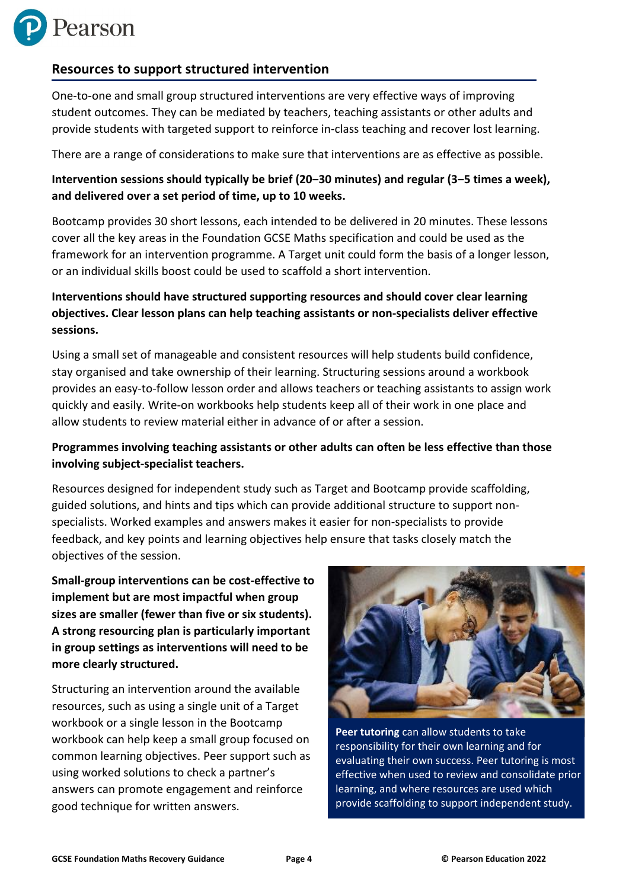

## **Resources to support structured intervention**

One-to-one and small group structured interventions are very effective ways of improving student outcomes. They can be mediated by teachers, teaching assistants or other adults and provide students with targeted support to reinforce in-class teaching and recover lost learning.

There are a range of considerations to make sure that interventions are as effective as possible.

**Intervention sessions should typically be brief (20‒30 minutes) and regular (3‒5 times a week), and delivered over a set period of time, up to 10 weeks.**

Bootcamp provides 30 short lessons, each intended to be delivered in 20 minutes. These lessons cover all the key areas in the Foundation GCSE Maths specification and could be used as the framework for an intervention programme. A Target unit could form the basis of a longer lesson, or an individual skills boost could be used to scaffold a short intervention.

## **Interventions should have structured supporting resources and should cover clear learning objectives. Clear lesson plans can help teaching assistants or non-specialists deliver effective sessions.**

Using a small set of manageable and consistent resources will help students build confidence, stay organised and take ownership of their learning. Structuring sessions around a workbook provides an easy-to-follow lesson order and allows teachers or teaching assistants to assign work quickly and easily. Write-on workbooks help students keep all of their work in one place and allow students to review material either in advance of or after a session.

## **Programmes involving teaching assistants or other adults can often be less effective than those involving subject-specialist teachers.**

Resources designed for independent study such as Target and Bootcamp provide scaffolding, guided solutions, and hints and tips which can provide additional structure to support nonspecialists. Worked examples and answers makes it easier for non-specialists to provide feedback, and key points and learning objectives help ensure that tasks closely match the objectives of the session.

**Small-group interventions can be cost-effective to implement but are most impactful when group sizes are smaller (fewer than five or six students). A strong resourcing plan is particularly important in group settings as interventions will need to be more clearly structured.**

Structuring an intervention around the available resources, such as using a single unit of a Target workbook or a single lesson in the Bootcamp workbook can help keep a small group focused on common learning objectives. Peer support such as using worked solutions to check a partner's answers can promote engagement and reinforce good technique for written answers.



**Peer tutoring** can allow students to take responsibility for their own learning and for evaluating their own success. Peer tutoring is most effective when used to review and consolidate prior learning, and where resources are used which provide scaffolding to support independent study.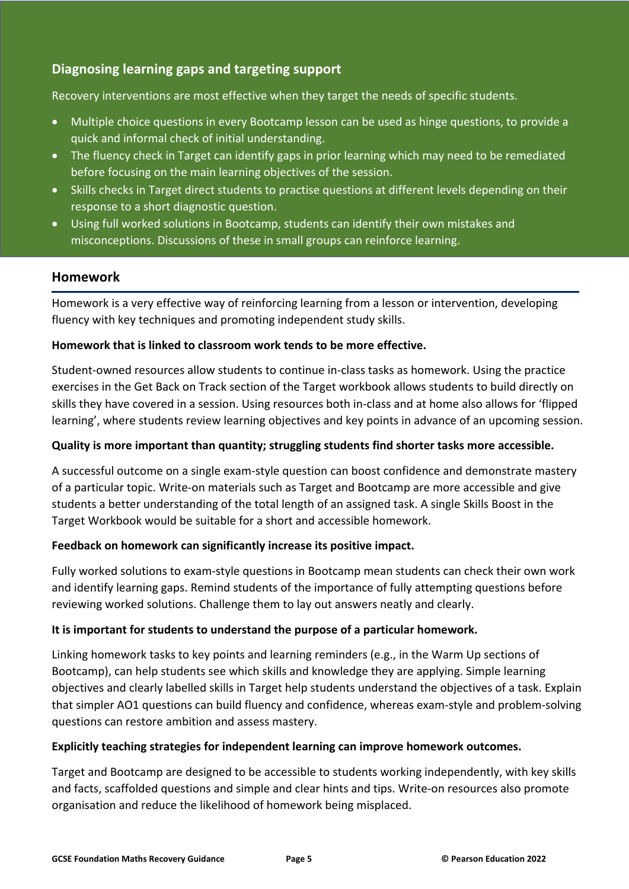# **Diagnosing learning gaps and targeting support**

Recovery interventions are most effective when they target the needs of specific students.

- Multiple choice questions in every Bootcamp lesson can be used as hinge questions, to provide a quick and informal check of initial understanding.
- The fluency check in Target can identify gaps in prior learning which may need to be remediated before focusing on the main learning objectives of the session.
- Skills checks in Target direct students to practise questions at different levels depending on their response to a short diagnostic question.
- Using full worked solutions in Bootcamp, students can identify their own mistakes and misconceptions. Discussions of these in small groups can reinforce learning.

## **Homework**

Homework is a very effective way of reinforcing learning from a lesson or intervention, developing fluency with key techniques and promoting independent study skills.

#### **Homework that is linked to classroom work tends to be more effective.**

Student-owned resources allow students to continue in-class tasks as homework. Using the practice exercises in the Get Back on Track section of the Target workbook allows students to build directly on skills they have covered in a session. Using resources both in-class and at home also allows for 'flipped learning', where students review learning objectives and key points in advance of an upcoming session.

#### **Quality is more important than quantity; struggling students find shorter tasks more accessible.**

A successful outcome on a single exam-style question can boost confidence and demonstrate mastery of a particular topic. Write-on materials such as Target and Bootcamp are more accessible and give students a better understanding of the total length of an assigned task. A single Skills Boost in the Target Workbook would be suitable for a short and accessible homework.

#### **Feedback on homework can significantly increase its positive impact.**

Fully worked solutions to exam-style questions in Bootcamp mean students can check their own work and identify learning gaps. Remind students of the importance of fully attempting questions before reviewing worked solutions. Challenge them to lay out answers neatly and clearly.

#### **It is important for students to understand the purpose of a particular homework.**

Linking homework tasks to key points and learning reminders (e.g., in the Warm Up sections of Bootcamp), can help students see which skills and knowledge they are applying. Simple learning objectives and clearly labelled skills in Target help students understand the objectives of a task. Explain that simpler AO1 questions can build fluency and confidence, whereas exam-style and problem-solving questions can restore ambition and assess mastery.

#### **Explicitly teaching strategies for independent learning can improve homework outcomes.**

Target and Bootcamp are designed to be accessible to students working independently, with key skills and facts, scaffolded questions and simple and clear hints and tips. Write-on resources also promote organisation and reduce the likelihood of homework being misplaced.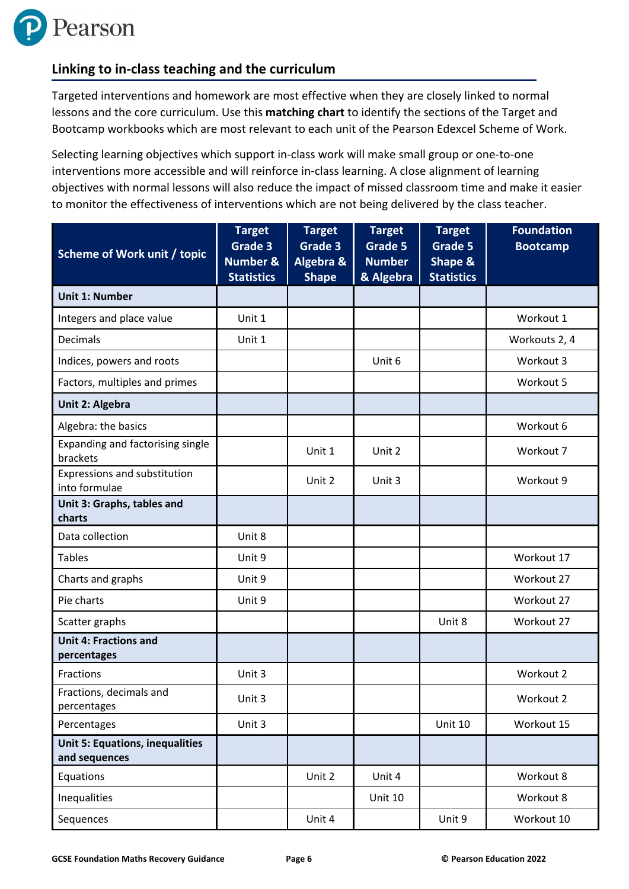# **Linking to in-class teaching and the curriculum**

Targeted interventions and homework are most effective when they are closely linked to normal lessons and the core curriculum. Use this **matching chart** to identify the sections of the Target and Bootcamp workbooks which are most relevant to each unit of the Pearson Edexcel Scheme of Work.

Selecting learning objectives which support in-class work will make small group or one-to-one interventions more accessible and will reinforce in-class learning. A close alignment of learning objectives with normal lessons will also reduce the impact of missed classroom time and make it easier to monitor the effectiveness of interventions which are not being delivered by the class teacher.

| <b>Scheme of Work unit / topic</b>                      | <b>Target</b><br>Grade 3<br><b>Number &amp;</b><br><b>Statistics</b> | <b>Target</b><br>Grade 3<br>Algebra &<br><b>Shape</b> | <b>Target</b><br>Grade 5<br><b>Number</b><br>& Algebra | <b>Target</b><br>Grade 5<br>Shape &<br><b>Statistics</b> | <b>Foundation</b><br><b>Bootcamp</b> |
|---------------------------------------------------------|----------------------------------------------------------------------|-------------------------------------------------------|--------------------------------------------------------|----------------------------------------------------------|--------------------------------------|
| <b>Unit 1: Number</b>                                   |                                                                      |                                                       |                                                        |                                                          |                                      |
| Integers and place value                                | Unit 1                                                               |                                                       |                                                        |                                                          | Workout 1                            |
| Decimals                                                | Unit 1                                                               |                                                       |                                                        |                                                          | Workouts 2, 4                        |
| Indices, powers and roots                               |                                                                      |                                                       | Unit 6                                                 |                                                          | Workout 3                            |
| Factors, multiples and primes                           |                                                                      |                                                       |                                                        |                                                          | Workout 5                            |
| Unit 2: Algebra                                         |                                                                      |                                                       |                                                        |                                                          |                                      |
| Algebra: the basics                                     |                                                                      |                                                       |                                                        |                                                          | Workout 6                            |
| Expanding and factorising single<br>brackets            |                                                                      | Unit 1                                                | Unit 2                                                 |                                                          | Workout 7                            |
| Expressions and substitution<br>into formulae           |                                                                      | Unit 2                                                | Unit 3                                                 |                                                          | Workout 9                            |
| Unit 3: Graphs, tables and<br>charts                    |                                                                      |                                                       |                                                        |                                                          |                                      |
| Data collection                                         | Unit 8                                                               |                                                       |                                                        |                                                          |                                      |
| <b>Tables</b>                                           | Unit 9                                                               |                                                       |                                                        |                                                          | Workout 17                           |
| Charts and graphs                                       | Unit 9                                                               |                                                       |                                                        |                                                          | Workout 27                           |
| Pie charts                                              | Unit 9                                                               |                                                       |                                                        |                                                          | Workout 27                           |
| Scatter graphs                                          |                                                                      |                                                       |                                                        | Unit 8                                                   | Workout 27                           |
| <b>Unit 4: Fractions and</b><br>percentages             |                                                                      |                                                       |                                                        |                                                          |                                      |
| Fractions                                               | Unit 3                                                               |                                                       |                                                        |                                                          | Workout 2                            |
| Fractions, decimals and<br>percentages                  | Unit 3                                                               |                                                       |                                                        |                                                          | Workout 2                            |
| Percentages                                             | Unit 3                                                               |                                                       |                                                        | <b>Unit 10</b>                                           | Workout 15                           |
| <b>Unit 5: Equations, inequalities</b><br>and sequences |                                                                      |                                                       |                                                        |                                                          |                                      |
| Equations                                               |                                                                      | Unit 2                                                | Unit 4                                                 |                                                          | Workout 8                            |
| Inequalities                                            |                                                                      |                                                       | <b>Unit 10</b>                                         |                                                          | Workout 8                            |
| Sequences                                               |                                                                      | Unit 4                                                |                                                        | Unit 9                                                   | Workout 10                           |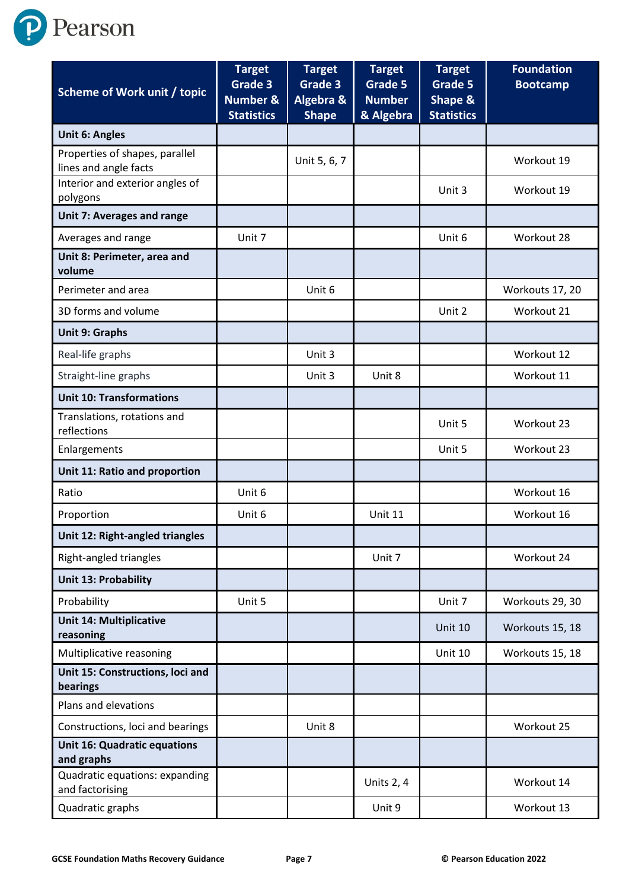P Pearson

| Scheme of Work unit / topic                             | <b>Target</b><br>Grade 3<br><b>Number &amp;</b><br><b>Statistics</b> | <b>Target</b><br>Grade 3<br>Algebra &<br><b>Shape</b> | <b>Target</b><br><b>Grade 5</b><br><b>Number</b><br>& Algebra | <b>Target</b><br>Grade 5<br>Shape &<br><b>Statistics</b> | <b>Foundation</b><br><b>Bootcamp</b> |
|---------------------------------------------------------|----------------------------------------------------------------------|-------------------------------------------------------|---------------------------------------------------------------|----------------------------------------------------------|--------------------------------------|
| <b>Unit 6: Angles</b>                                   |                                                                      |                                                       |                                                               |                                                          |                                      |
| Properties of shapes, parallel<br>lines and angle facts |                                                                      | Unit 5, 6, 7                                          |                                                               |                                                          | Workout 19                           |
| Interior and exterior angles of<br>polygons             |                                                                      |                                                       |                                                               | Unit 3                                                   | Workout 19                           |
| <b>Unit 7: Averages and range</b>                       |                                                                      |                                                       |                                                               |                                                          |                                      |
| Averages and range                                      | Unit 7                                                               |                                                       |                                                               | Unit 6                                                   | Workout 28                           |
| Unit 8: Perimeter, area and<br>volume                   |                                                                      |                                                       |                                                               |                                                          |                                      |
| Perimeter and area                                      |                                                                      | Unit 6                                                |                                                               |                                                          | Workouts 17, 20                      |
| 3D forms and volume                                     |                                                                      |                                                       |                                                               | Unit 2                                                   | Workout 21                           |
| <b>Unit 9: Graphs</b>                                   |                                                                      |                                                       |                                                               |                                                          |                                      |
| Real-life graphs                                        |                                                                      | Unit 3                                                |                                                               |                                                          | Workout 12                           |
| Straight-line graphs                                    |                                                                      | Unit 3                                                | Unit 8                                                        |                                                          | Workout 11                           |
| <b>Unit 10: Transformations</b>                         |                                                                      |                                                       |                                                               |                                                          |                                      |
| Translations, rotations and<br>reflections              |                                                                      |                                                       |                                                               | Unit 5                                                   | Workout 23                           |
| Enlargements                                            |                                                                      |                                                       |                                                               | Unit 5                                                   | Workout 23                           |
| Unit 11: Ratio and proportion                           |                                                                      |                                                       |                                                               |                                                          |                                      |
| Ratio                                                   | Unit 6                                                               |                                                       |                                                               |                                                          | Workout 16                           |
| Proportion                                              | Unit 6                                                               |                                                       | <b>Unit 11</b>                                                |                                                          | Workout 16                           |
| Unit 12: Right-angled triangles                         |                                                                      |                                                       |                                                               |                                                          |                                      |
| Right-angled triangles                                  |                                                                      |                                                       | Unit 7                                                        |                                                          | Workout 24                           |
| <b>Unit 13: Probability</b>                             |                                                                      |                                                       |                                                               |                                                          |                                      |
| Probability                                             | Unit 5                                                               |                                                       |                                                               | Unit 7                                                   | Workouts 29, 30                      |
| <b>Unit 14: Multiplicative</b><br>reasoning             |                                                                      |                                                       |                                                               | <b>Unit 10</b>                                           | Workouts 15, 18                      |
| Multiplicative reasoning                                |                                                                      |                                                       |                                                               | Unit 10                                                  | Workouts 15, 18                      |
| Unit 15: Constructions, loci and<br>bearings            |                                                                      |                                                       |                                                               |                                                          |                                      |
| Plans and elevations                                    |                                                                      |                                                       |                                                               |                                                          |                                      |
| Constructions, loci and bearings                        |                                                                      | Unit 8                                                |                                                               |                                                          | Workout 25                           |
| <b>Unit 16: Quadratic equations</b><br>and graphs       |                                                                      |                                                       |                                                               |                                                          |                                      |
| Quadratic equations: expanding<br>and factorising       |                                                                      |                                                       | Units 2, 4                                                    |                                                          | Workout 14                           |
| Quadratic graphs                                        |                                                                      |                                                       | Unit 9                                                        |                                                          | Workout 13                           |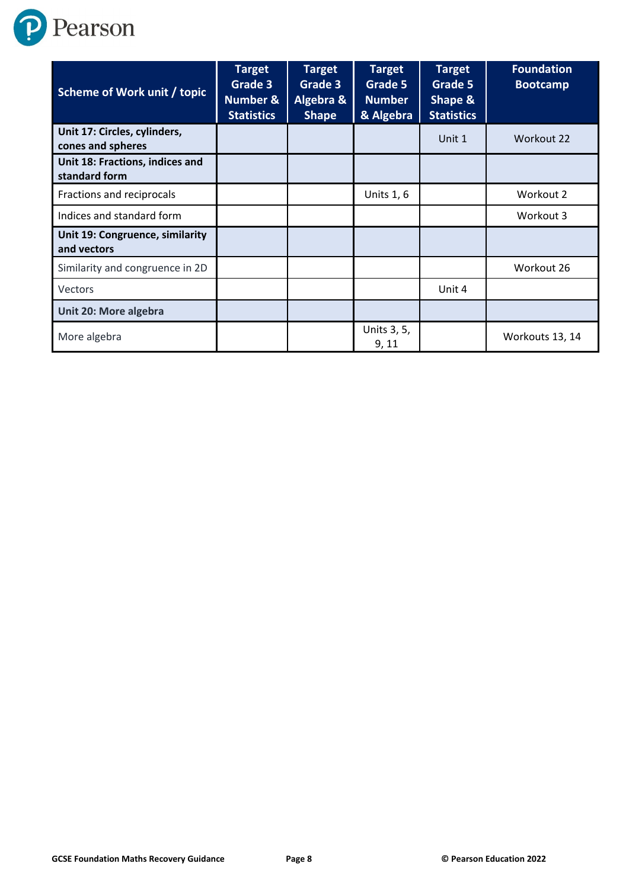

| <b>Scheme of Work unit / topic</b>                | <b>Target</b><br>Grade 3<br><b>Number &amp;</b><br><b>Statistics</b> | <b>Target</b><br>Grade 3<br>Algebra &<br><b>Shape</b> | <b>Target</b><br>Grade 5<br><b>Number</b><br>& Algebra | <b>Target</b><br>Grade 5<br><b>Shape &amp;</b><br><b>Statistics</b> | <b>Foundation</b><br><b>Bootcamp</b> |
|---------------------------------------------------|----------------------------------------------------------------------|-------------------------------------------------------|--------------------------------------------------------|---------------------------------------------------------------------|--------------------------------------|
| Unit 17: Circles, cylinders,<br>cones and spheres |                                                                      |                                                       |                                                        | Unit 1                                                              | Workout 22                           |
| Unit 18: Fractions, indices and<br>standard form  |                                                                      |                                                       |                                                        |                                                                     |                                      |
| Fractions and reciprocals                         |                                                                      |                                                       | <b>Units 1, 6</b>                                      |                                                                     | Workout 2                            |
| Indices and standard form                         |                                                                      |                                                       |                                                        |                                                                     | Workout 3                            |
| Unit 19: Congruence, similarity<br>and vectors    |                                                                      |                                                       |                                                        |                                                                     |                                      |
| Similarity and congruence in 2D                   |                                                                      |                                                       |                                                        |                                                                     | Workout 26                           |
| Vectors                                           |                                                                      |                                                       |                                                        | Unit 4                                                              |                                      |
| Unit 20: More algebra                             |                                                                      |                                                       |                                                        |                                                                     |                                      |
| More algebra                                      |                                                                      |                                                       | Units 3, 5,<br>9,11                                    |                                                                     | Workouts 13, 14                      |